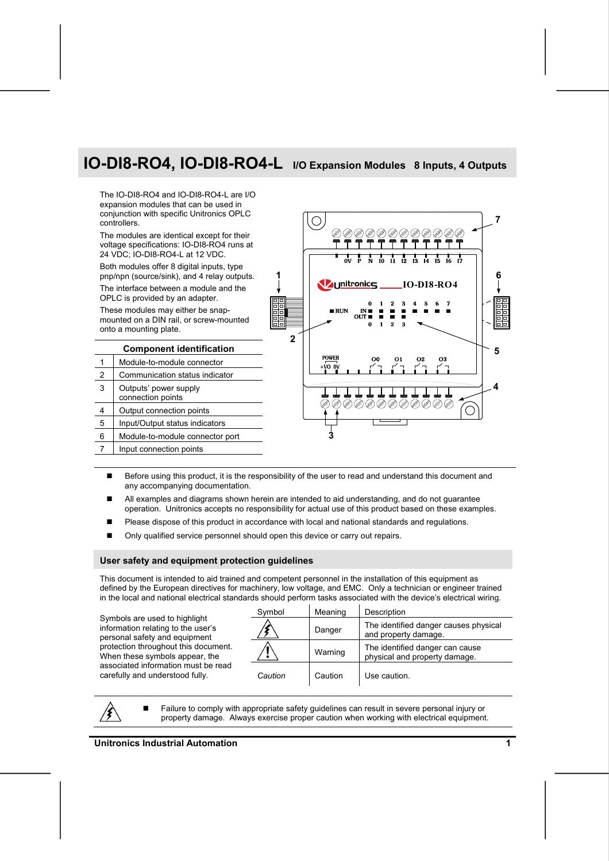# **IO-DI8-RO4, IO-DI8-RO4-L I/O Expansion Modules 8 Inputs, 4 Outputs**

The IO-DI8-RO4 and IO-DI8-RO4-L are I/O expansion modules that can be used in conjunction with specific Unitronics OPLC controllers.

The modules are identical except for their voltage specifications: IO-DI8-RO4 runs at 24 VDC; IO-DI8-RO4-L at 12 VDC.

Both modules offer 8 digital inputs, type pnp/npn (source/sink), and 4 relay outputs. The interface between a module and the OPLC is provided by an adapter.

These modules may either be snapmounted on a DIN rail, or screw-mounted onto a mounting plate.

7 | Input connection points

| <b>Component identification</b> |                                            |  |  |  |  |
|---------------------------------|--------------------------------------------|--|--|--|--|
|                                 | Module-to-module connector                 |  |  |  |  |
| 2                               | Communication status indicator             |  |  |  |  |
| 3                               | Outputs' power supply<br>connection points |  |  |  |  |
|                                 | Output connection points                   |  |  |  |  |
| 5                               | Input/Output status indicators             |  |  |  |  |
| հ                               | Module-to-module connector port            |  |  |  |  |
|                                 |                                            |  |  |  |  |



- Before using this product, it is the responsibility of the user to read and understand this document and any accompanying documentation.
- All examples and diagrams shown herein are intended to aid understanding, and do not guarantee operation. Unitronics accepts no responsibility for actual use of this product based on these examples.
- Please dispose of this product in accordance with local and national standards and regulations.
- Only qualified service personnel should open this device or carry out repairs.

#### **User safety and equipment protection guidelines**

This document is intended to aid trained and competent personnel in the installation of this equipment as defined by the European directives for machinery, low voltage, and EMC. Only a technician or engineer trained in the local and national electrical standards should perform tasks associated with the device's electrical wiring.

Symbols are used to highlight information relating to the user's personal safety and equipment protection throughout this document. When these symbols appear, the associated information must be read carefully and understood fully.

| Symbol  | Meaning | Description                                                      |
|---------|---------|------------------------------------------------------------------|
|         | Danger  | The identified danger causes physical<br>and property damage.    |
|         | Warning | The identified danger can cause<br>physical and property damage. |
| Caution | Caution | Use caution.                                                     |

 Failure to comply with appropriate safety guidelines can result in severe personal injury or property damage. Always exercise proper caution when working with electrical equipment.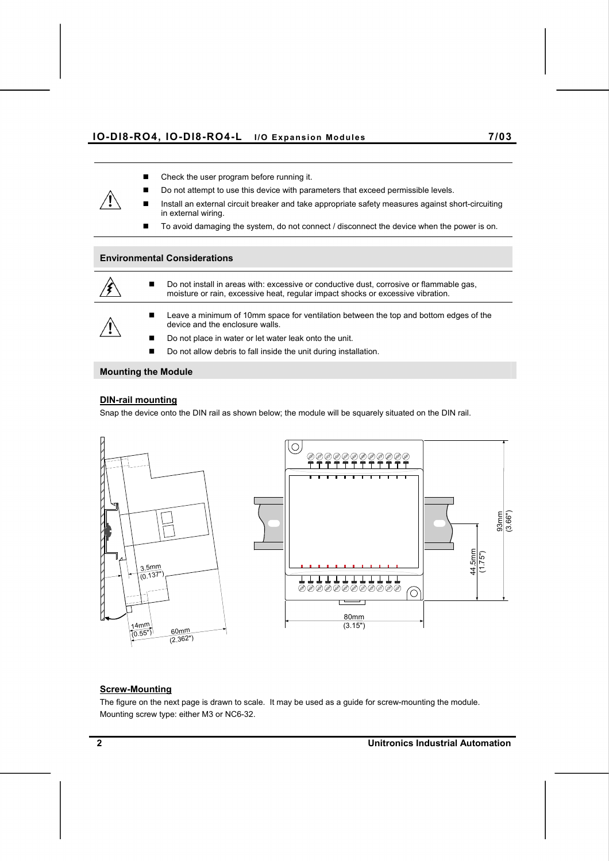#### **IO-DI8-RO4, IO-DI8-RO4-L I/O Expansion Modules 7/03**

- Check the user program before running it.
- Do not attempt to use this device with parameters that exceed permissible levels.
- Install an external circuit breaker and take appropriate safety measures against short-circuiting in external wiring.
- To avoid damaging the system, do not connect / disconnect the device when the power is on.

#### **Environmental Considerations**



■ Do not install in areas with: excessive or conductive dust, corrosive or flammable gas, moisture or rain, excessive heat, regular impact shocks or excessive vibration.

 Leave a minimum of 10mm space for ventilation between the top and bottom edges of the device and the enclosure walls.

- Do not place in water or let water leak onto the unit.
- Do not allow debris to fall inside the unit during installation.

### **Mounting the Module**

### **DIN-rail mounting**

Snap the device onto the DIN rail as shown below; the module will be squarely situated on the DIN rail.





### **Screw-Mounting**

The figure on the next page is drawn to scale. It may be used as a guide for screw-mounting the module. Mounting screw type: either M3 or NC6-32.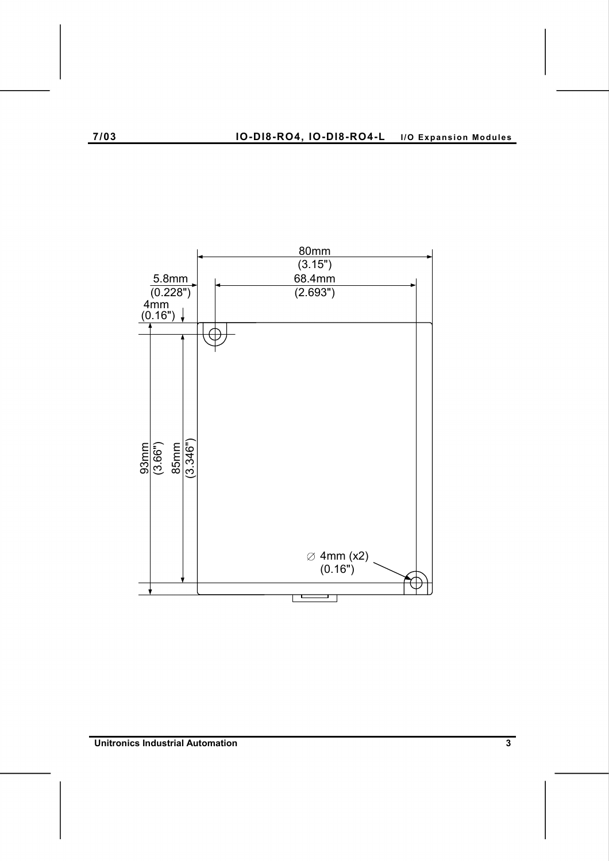

**Unitronics Industrial Automation 3**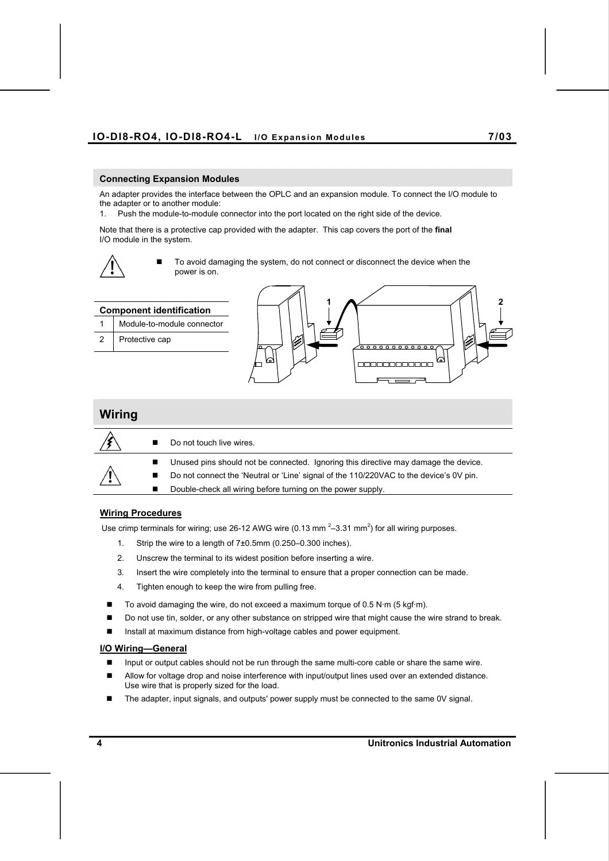#### **Connecting Expansion Modules**

An adapter provides the interface between the OPLC and an expansion module. To connect the I/O module to the adapter or to another module:

1. Push the module-to-module connector into the port located on the right side of the device.

Note that there is a protective cap provided with the adapter. This cap covers the port of the **final**  I/O module in the system.



 To avoid damaging the system, do not connect or disconnect the device when the power is on.





#### **Wiring Procedures**

Use crimp terminals for wiring; use 26-12 AWG wire (0.13 mm<sup>2</sup>-3.31 mm<sup>2</sup>) for all wiring purposes.

- 1. Strip the wire to a length of 7±0.5mm (0.250–0.300 inches).
- 2. Unscrew the terminal to its widest position before inserting a wire.
- 3. Insert the wire completely into the terminal to ensure that a proper connection can be made.
- 4. Tighten enough to keep the wire from pulling free.
- To avoid damaging the wire, do not exceed a maximum torque of 0.5 N·m (5 kgf·m).
- Do not use tin, solder, or any other substance on stripped wire that might cause the wire strand to break.
- Install at maximum distance from high-voltage cables and power equipment.

#### **I/O Wiring—General**

- Input or output cables should not be run through the same multi-core cable or share the same wire.
- **Allow for voltage drop and noise interference with input/output lines used over an extended distance.** Use wire that is properly sized for the load.
- The adapter, input signals, and outputs' power supply must be connected to the same 0V signal.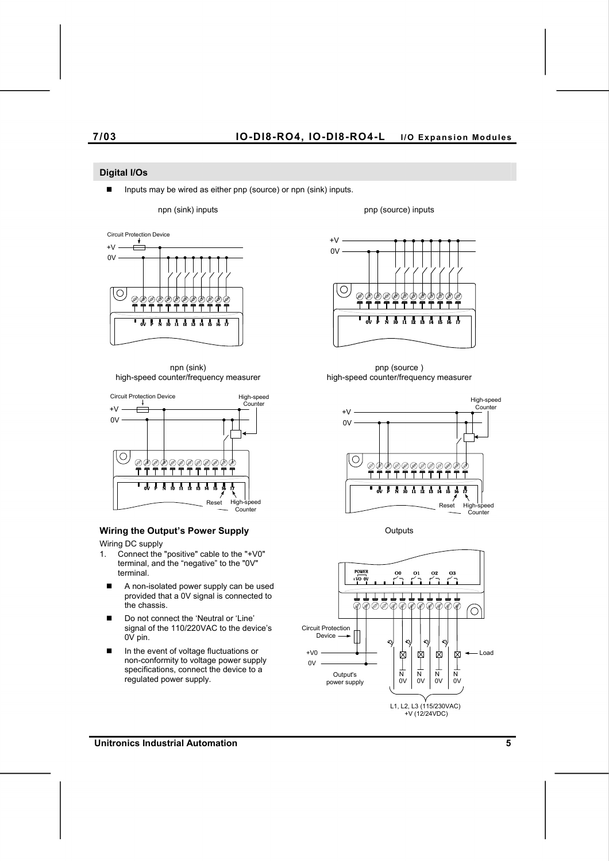#### **Digital I/Os**

■ Inputs may be wired as either pnp (source) or npn (sink) inputs.

npn (sink) inputs pnp (source) inputs



npn (sink) high-speed counter/frequency measurer



### **Wiring the Output's Power Supply Culputs** Outputs

Wiring DC supply

- 1. Connect the "positive" cable to the "+V0" terminal, and the "negative" to the "0V" terminal.
	- A non-isolated power supply can be used provided that a 0V signal is connected to the chassis.
	- Do not connect the 'Neutral or 'Line' signal of the 110/220VAC to the device's 0V pin.
	- In the event of voltage fluctuations or non-conformity to voltage power supply specifications, connect the device to a regulated power supply.



pnp (source ) high-speed counter/frequency measurer





**Unitronics Industrial Automation 5**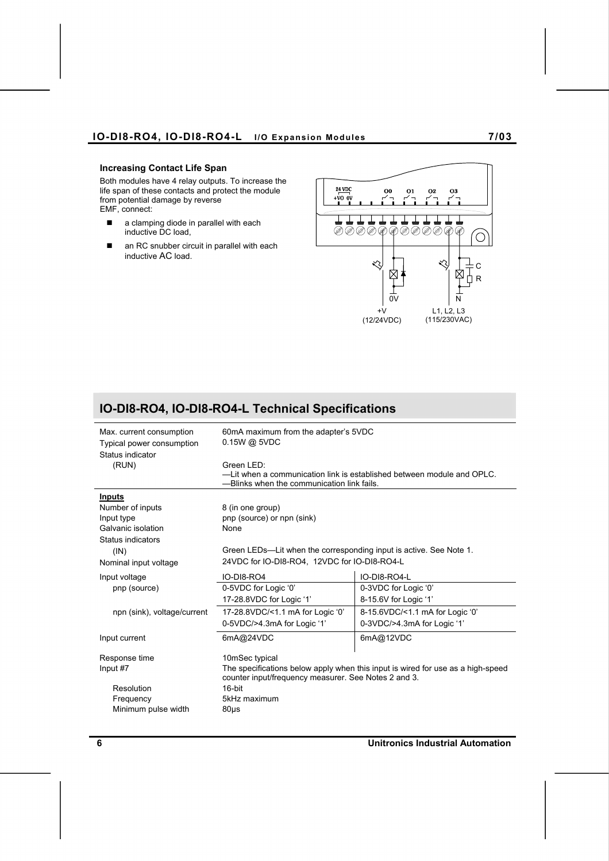## **IO-DI8-RO4, IO-DI8-RO4-L I/O Expansion Modules 7/03**

#### **Increasing Contact Life Span**

Both modules have 4 relay outputs. To increase the life span of these contacts and protect the module from potential damage by reverse EMF, connect:

- a clamping diode in parallel with each inductive DC load,
- an RC snubber circuit in parallel with each inductive AC load.



# **IO-DI8-RO4, IO-DI8-RO4-L Technical Specifications**

| Max. current consumption<br>Typical power consumption<br>Status indicator<br>(RUN) | 60mA maximum from the adapter's 5VDC<br>$0.15W$ @ 5VDC<br>Green I FD:<br>-Lit when a communication link is established between module and OPLC.<br>-Blinks when the communication link fails.  |                                                                |  |  |
|------------------------------------------------------------------------------------|------------------------------------------------------------------------------------------------------------------------------------------------------------------------------------------------|----------------------------------------------------------------|--|--|
| Inputs                                                                             |                                                                                                                                                                                                |                                                                |  |  |
| Number of inputs<br>Input type<br>Galvanic isolation<br>Status indicators          | 8 (in one group)<br>pnp (source) or npn (sink)<br>None                                                                                                                                         |                                                                |  |  |
| (IN)                                                                               | Green LEDs—Lit when the corresponding input is active. See Note 1.                                                                                                                             |                                                                |  |  |
| Nominal input voltage                                                              | 24VDC for IO-DI8-RO4, 12VDC for IO-DI8-RO4-L                                                                                                                                                   |                                                                |  |  |
| Input voltage<br>pnp (source)                                                      | <b>IO-DI8-RO4</b><br>0-5VDC for Logic '0'<br>17-28.8VDC for Logic '1'                                                                                                                          | IO-DI8-RO4-L<br>0-3VDC for Logic '0'<br>8-15.6V for Logic '1'  |  |  |
| npn (sink), voltage/current                                                        | 17-28.8VDC/<1.1 mA for Logic '0'<br>0-5VDC/>4.3mA for Logic '1'                                                                                                                                | 8-15.6VDC/<1.1 mA for Logic '0'<br>0-3VDC/>4.3mA for Logic '1' |  |  |
| Input current                                                                      | 6mA@24VDC                                                                                                                                                                                      | 6mA@12VDC                                                      |  |  |
| Response time<br>Input #7<br>Resolution<br>Frequency<br>Minimum pulse width        | 10mSec typical<br>The specifications below apply when this input is wired for use as a high-speed<br>counter input/frequency measurer. See Notes 2 and 3.<br>16-bit<br>5kHz maximum<br>$80µ$ s |                                                                |  |  |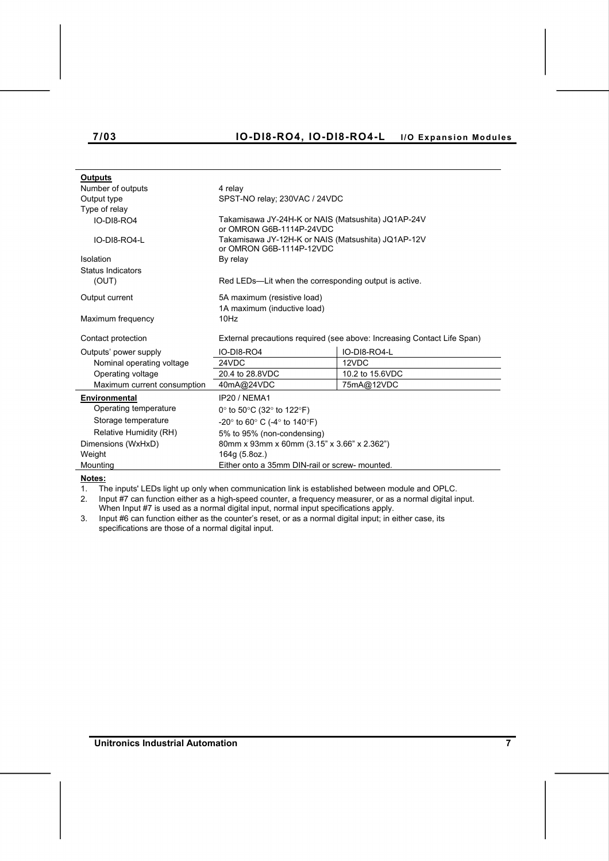# **7/03 IO-DI8-RO4, IO-DI8-RO4-L I/O Expansion Modules**

| <b>Outputs</b>              |                                                                                |                 |  |
|-----------------------------|--------------------------------------------------------------------------------|-----------------|--|
| Number of outputs           | 4 relay                                                                        |                 |  |
| Output type                 | SPST-NO relay: 230VAC / 24VDC                                                  |                 |  |
| Type of relay               |                                                                                |                 |  |
| IO-DI8-RO4                  | Takamisawa JY-24H-K or NAIS (Matsushita) JQ1AP-24V<br>or OMRON G6B-1114P-24VDC |                 |  |
| IO-DI8-RO4-L                | Takamisawa JY-12H-K or NAIS (Matsushita) JQ1AP-12V<br>or OMRON G6B-1114P-12VDC |                 |  |
| Isolation                   | By relay                                                                       |                 |  |
| Status Indicators           |                                                                                |                 |  |
| (OUT)                       | Red LEDs—Lit when the corresponding output is active.                          |                 |  |
| Output current              | 5A maximum (resistive load)                                                    |                 |  |
|                             | 1A maximum (inductive load)                                                    |                 |  |
| Maximum frequency           | 10Hz                                                                           |                 |  |
| Contact protection          | External precautions required (see above: Increasing Contact Life Span)        |                 |  |
| Outputs' power supply       | IO-DI8-RO4                                                                     | IO-DI8-RO4-L    |  |
| Nominal operating voltage   | 24VDC                                                                          | 12VDC           |  |
| Operating voltage           | 20.4 to 28.8VDC                                                                | 10.2 to 15.6VDC |  |
| Maximum current consumption | 40mA@24VDC                                                                     | 75mA@12VDC      |  |
|                             |                                                                                |                 |  |
| <b>Environmental</b>        | IP20 / NFMA1                                                                   |                 |  |
| Operating temperature       | 0° to 50°C (32° to 122°F)                                                      |                 |  |
| Storage temperature         | $-20^{\circ}$ to 60° C (-4° to 140°F)                                          |                 |  |
| Relative Humidity (RH)      | 5% to 95% (non-condensing)                                                     |                 |  |
| Dimensions (WxHxD)          | 80mm x 93mm x 60mm (3.15" x 3.66" x 2.362")                                    |                 |  |
| Weight                      | 164g (5.8oz.)                                                                  |                 |  |
| Mounting                    | Either onto a 35mm DIN-rail or screw- mounted.                                 |                 |  |

**Notes:**

1. The inputs' LEDs light up only when communication link is established between module and OPLC.

2. Input #7 can function either as a high-speed counter, a frequency measurer, or as a normal digital input. When Input #7 is used as a normal digital input, normal input specifications apply.

3. Input #6 can function either as the counter's reset, or as a normal digital input; in either case, its specifications are those of a normal digital input.